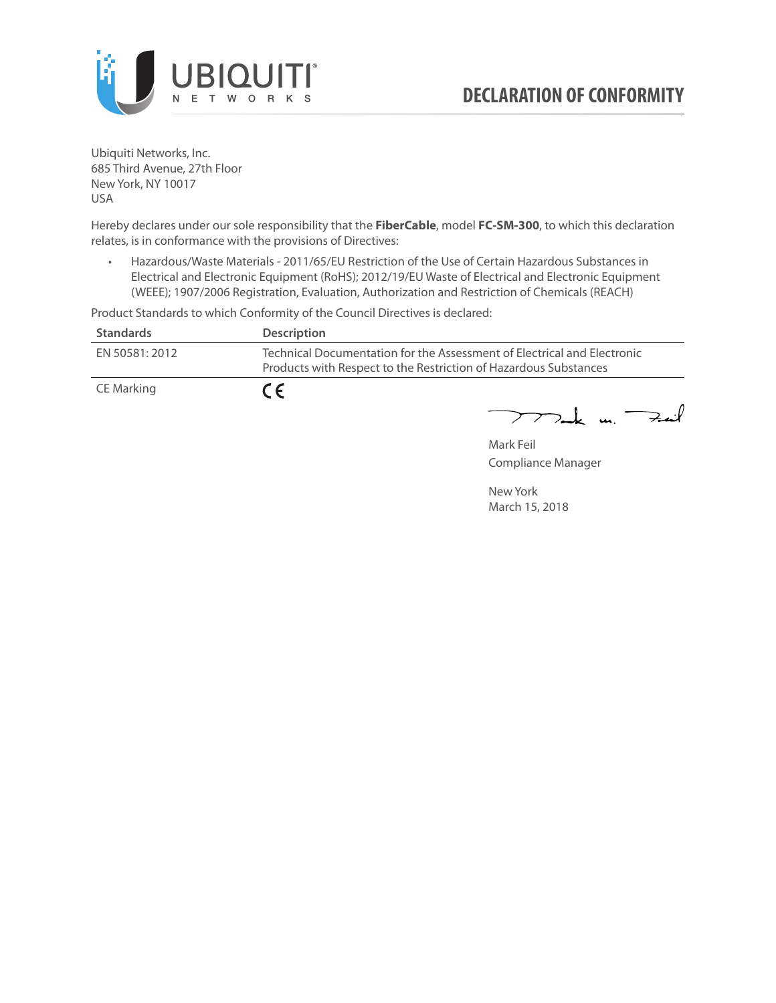

Ubiquiti Networks, Inc. 685 Third Avenue, 27th Floor New York, NY 10017 USA

Hereby declares under our sole responsibility that the **FiberCable**, model **FC-SM-300**, to which this declaration relates, is in conformance with the provisions of Directives:

• Hazardous/Waste Materials - 2011/65/EU Restriction of the Use of Certain Hazardous Substances in Electrical and Electronic Equipment (RoHS); 2012/19/EU Waste of Electrical and Electronic Equipment (WEEE); 1907/2006 Registration, Evaluation, Authorization and Restriction of Chemicals (REACH)

Product Standards to which Conformity of the Council Directives is declared:

| <b>Standards</b> | <b>Description</b>                                                                                                                          |
|------------------|---------------------------------------------------------------------------------------------------------------------------------------------|
| EN 50581: 2012   | Technical Documentation for the Assessment of Electrical and Electronic<br>Products with Respect to the Restriction of Hazardous Substances |
| CE Marking       | $\epsilon$                                                                                                                                  |

 $772$ ak m. Fail

Mark Feil Compliance Manager

New York March 15, 2018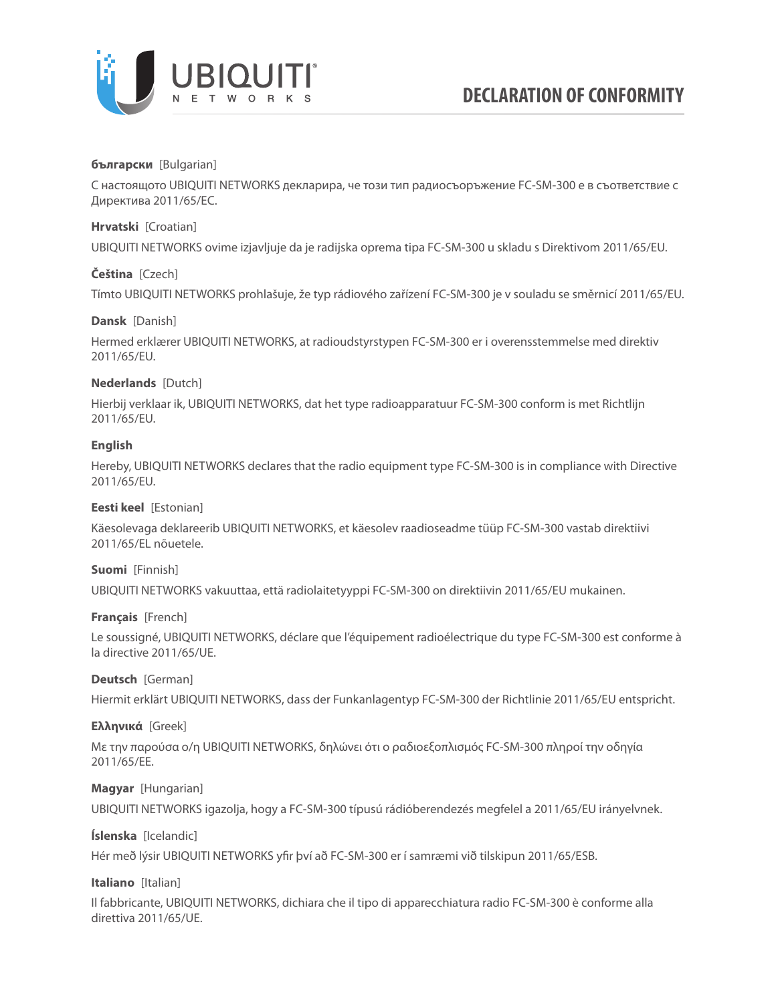

### **български** [Bulgarian]

С настоящото UBIQUITI NETWORKS декларира, че този тип радиосъоръжение FC-SM-300 е в съответствие с Директива 2011/65/ЕС.

### **Hrvatski** [Croatian]

UBIQUITI NETWORKS ovime izjavljuje da je radijska oprema tipa FC-SM-300 u skladu s Direktivom 2011/65/ЕU.

# **Čeština** [Czech]

Tímto UBIQUITI NETWORKS prohlašuje, že typ rádiového zařízení FC-SM-300 je v souladu se směrnicí 2011/65/ЕU.

### **Dansk** [Danish]

Hermed erklærer UBIQUITI NETWORKS, at radioudstyrstypen FC-SM-300 er i overensstemmelse med direktiv 2011/65/ЕU.

# **Nederlands** [Dutch]

Hierbij verklaar ik, UBIQUITI NETWORKS, dat het type radioapparatuur FC-SM-300 conform is met Richtlijn 2011/65/ЕU.

# **English**

Hereby, UBIQUITI NETWORKS declares that the radio equipment type FC-SM-300 is in compliance with Directive 2011/65/ЕU.

### **Eesti keel** [Estonian]

Käesolevaga deklareerib UBIQUITI NETWORKS, et käesolev raadioseadme tüüp FC-SM-300 vastab direktiivi 2011/65/EL nõuetele.

### **Suomi** [Finnish]

UBIQUITI NETWORKS vakuuttaa, että radiolaitetyyppi FC-SM-300 on direktiivin 2011/65/EU mukainen.

### **Français** [French]

Le soussigné, UBIQUITI NETWORKS, déclare que l'équipement radioélectrique du type FC-SM-300 est conforme à la directive 2011/65/UE.

### **Deutsch** [German]

Hiermit erklärt UBIQUITI NETWORKS, dass der Funkanlagentyp FC-SM-300 der Richtlinie 2011/65/EU entspricht.

### **Ελληνικά** [Greek]

Με την παρούσα ο/η UBIQUITI NETWORKS, δηλώνει ότι ο ραδιοεξοπλισμός FC-SM-300 πληροί την οδηγία 2011/65/EE.

### **Magyar** [Hungarian]

UBIQUITI NETWORKS igazolja, hogy a FC-SM-300 típusú rádióberendezés megfelel a 2011/65/EU irányelvnek.

# **Íslenska** [Icelandic]

Hér með lýsir UBIQUITI NETWORKS yfir því að FC-SM-300 er í samræmi við tilskipun 2011/65/ESB.

### **Italiano** [Italian]

Il fabbricante, UBIQUITI NETWORKS, dichiara che il tipo di apparecchiatura radio FC-SM-300 è conforme alla direttiva 2011/65/UE.